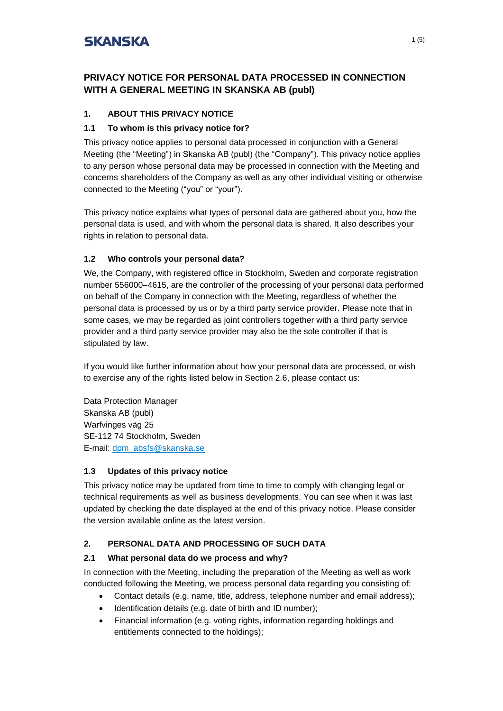## **PRIVACY NOTICE FOR PERSONAL DATA PROCESSED IN CONNECTION WITH A GENERAL MEETING IN SKANSKA AB (publ)**

## **1. ABOUT THIS PRIVACY NOTICE**

#### **1.1 To whom is this privacy notice for?**

This privacy notice applies to personal data processed in conjunction with a General Meeting (the "Meeting") in Skanska AB (publ) (the "Company"). This privacy notice applies to any person whose personal data may be processed in connection with the Meeting and concerns shareholders of the Company as well as any other individual visiting or otherwise connected to the Meeting ("you" or "your").

This privacy notice explains what types of personal data are gathered about you, how the personal data is used, and with whom the personal data is shared. It also describes your rights in relation to personal data.

### **1.2 Who controls your personal data?**

We, the Company, with registered office in Stockholm, Sweden and corporate registration number 556000–4615, are the controller of the processing of your personal data performed on behalf of the Company in connection with the Meeting, regardless of whether the personal data is processed by us or by a third party service provider. Please note that in some cases, we may be regarded as joint controllers together with a third party service provider and a third party service provider may also be the sole controller if that is stipulated by law.

If you would like further information about how your personal data are processed, or wish to exercise any of the rights listed below in Section 2.6, please contact us:

Data Protection Manager Skanska AB (publ) Warfvinges väg 25 SE-112 74 Stockholm, Sweden E-mail: [dpm\\_absfs@skanska.se](mailto:dpm_absfs@skanska.se)

#### **1.3 Updates of this privacy notice**

This privacy notice may be updated from time to time to comply with changing legal or technical requirements as well as business developments. You can see when it was last updated by checking the date displayed at the end of this privacy notice. Please consider the version available online as the latest version.

### **2. PERSONAL DATA AND PROCESSING OF SUCH DATA**

### **2.1 What personal data do we process and why?**

In connection with the Meeting, including the preparation of the Meeting as well as work conducted following the Meeting, we process personal data regarding you consisting of:

- Contact details (e.g. name, title, address, telephone number and email address);
- Identification details (e.g. date of birth and ID number);
- Financial information (e.g. voting rights, information regarding holdings and entitlements connected to the holdings);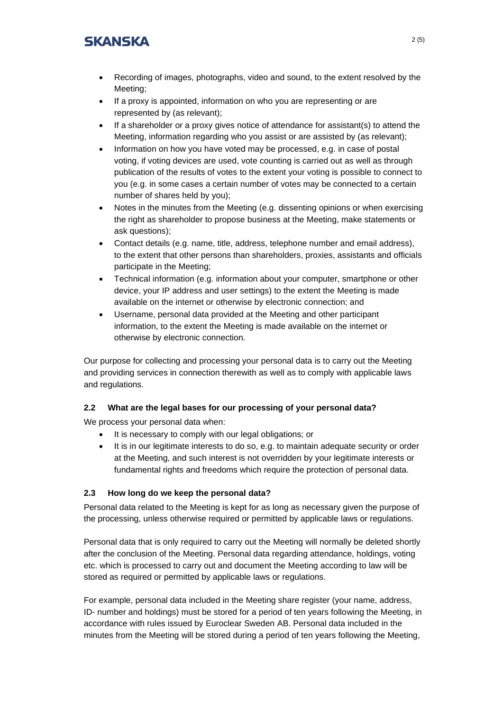- Recording of images, photographs, video and sound, to the extent resolved by the Meeting;
- If a proxy is appointed, information on who you are representing or are represented by (as relevant);
- If a shareholder or a proxy gives notice of attendance for assistant(s) to attend the Meeting, information regarding who you assist or are assisted by (as relevant);
- Information on how you have voted may be processed, e.g. in case of postal voting, if voting devices are used, vote counting is carried out as well as through publication of the results of votes to the extent your voting is possible to connect to you (e.g. in some cases a certain number of votes may be connected to a certain number of shares held by you);
- Notes in the minutes from the Meeting (e.g. dissenting opinions or when exercising the right as shareholder to propose business at the Meeting, make statements or ask questions);
- Contact details (e.g. name, title, address, telephone number and email address), to the extent that other persons than shareholders, proxies, assistants and officials participate in the Meeting;
- Technical information (e.g. information about your computer, smartphone or other device, your IP address and user settings) to the extent the Meeting is made available on the internet or otherwise by electronic connection; and
- Username, personal data provided at the Meeting and other participant information, to the extent the Meeting is made available on the internet or otherwise by electronic connection.

Our purpose for collecting and processing your personal data is to carry out the Meeting and providing services in connection therewith as well as to comply with applicable laws and regulations.

### **2.2 What are the legal bases for our processing of your personal data?**

We process your personal data when:

- It is necessary to comply with our legal obligations; or
- It is in our legitimate interests to do so, e.g. to maintain adequate security or order at the Meeting, and such interest is not overridden by your legitimate interests or fundamental rights and freedoms which require the protection of personal data.

### **2.3 How long do we keep the personal data?**

Personal data related to the Meeting is kept for as long as necessary given the purpose of the processing, unless otherwise required or permitted by applicable laws or regulations.

Personal data that is only required to carry out the Meeting will normally be deleted shortly after the conclusion of the Meeting. Personal data regarding attendance, holdings, voting etc. which is processed to carry out and document the Meeting according to law will be stored as required or permitted by applicable laws or regulations.

For example, personal data included in the Meeting share register (your name, address, ID- number and holdings) must be stored for a period of ten years following the Meeting, in accordance with rules issued by Euroclear Sweden AB. Personal data included in the minutes from the Meeting will be stored during a period of ten years following the Meeting,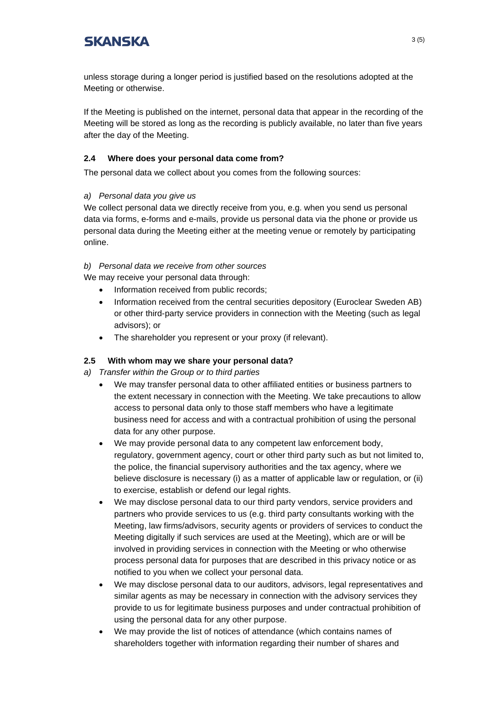unless storage during a longer period is justified based on the resolutions adopted at the Meeting or otherwise.

If the Meeting is published on the internet, personal data that appear in the recording of the Meeting will be stored as long as the recording is publicly available, no later than five years after the day of the Meeting.

### **2.4 Where does your personal data come from?**

The personal data we collect about you comes from the following sources:

### *a) Personal data you give us*

We collect personal data we directly receive from you, e.g. when you send us personal data via forms, e-forms and e-mails, provide us personal data via the phone or provide us personal data during the Meeting either at the meeting venue or remotely by participating online.

*b) Personal data we receive from other sources*

We may receive your personal data through:

- Information received from public records;
- Information received from the central securities depository (Euroclear Sweden AB) or other third-party service providers in connection with the Meeting (such as legal advisors); or
- The shareholder you represent or your proxy (if relevant).

### **2.5 With whom may we share your personal data?**

*a) Transfer within the Group or to third parties*

- We may transfer personal data to other affiliated entities or business partners to the extent necessary in connection with the Meeting. We take precautions to allow access to personal data only to those staff members who have a legitimate business need for access and with a contractual prohibition of using the personal data for any other purpose.
- We may provide personal data to any competent law enforcement body, regulatory, government agency, court or other third party such as but not limited to, the police, the financial supervisory authorities and the tax agency, where we believe disclosure is necessary (i) as a matter of applicable law or regulation, or (ii) to exercise, establish or defend our legal rights.
- We may disclose personal data to our third party vendors, service providers and partners who provide services to us (e.g. third party consultants working with the Meeting, law firms/advisors, security agents or providers of services to conduct the Meeting digitally if such services are used at the Meeting), which are or will be involved in providing services in connection with the Meeting or who otherwise process personal data for purposes that are described in this privacy notice or as notified to you when we collect your personal data.
- We may disclose personal data to our auditors, advisors, legal representatives and similar agents as may be necessary in connection with the advisory services they provide to us for legitimate business purposes and under contractual prohibition of using the personal data for any other purpose.
- We may provide the list of notices of attendance (which contains names of shareholders together with information regarding their number of shares and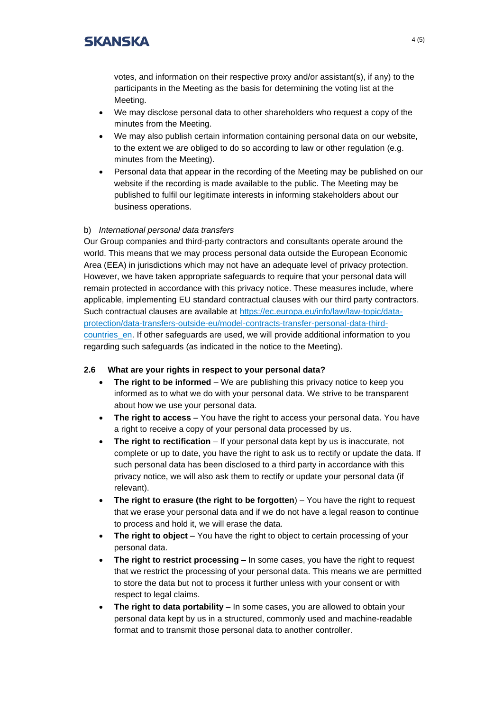votes, and information on their respective proxy and/or assistant(s), if any) to the participants in the Meeting as the basis for determining the voting list at the Meeting.

- We may disclose personal data to other shareholders who request a copy of the minutes from the Meeting.
- We may also publish certain information containing personal data on our website, to the extent we are obliged to do so according to law or other regulation (e.g. minutes from the Meeting).
- Personal data that appear in the recording of the Meeting may be published on our website if the recording is made available to the public. The Meeting may be published to fulfil our legitimate interests in informing stakeholders about our business operations.

#### b) *International personal data transfers*

Our Group companies and third-party contractors and consultants operate around the world. This means that we may process personal data outside the European Economic Area (EEA) in jurisdictions which may not have an adequate level of privacy protection. However, we have taken appropriate safeguards to require that your personal data will remain protected in accordance with this privacy notice. These measures include, where applicable, implementing EU standard contractual clauses with our third party contractors. Such contractual clauses are available at [https://ec.europa.eu/info/law/law-topic/data](https://ec.europa.eu/info/law/law-topic/data-protection/data-transfers-outside-eu/model-contracts-transfer-personal-data-third-countries_en)[protection/data-transfers-outside-eu/model-contracts-transfer-personal-data-third](https://ec.europa.eu/info/law/law-topic/data-protection/data-transfers-outside-eu/model-contracts-transfer-personal-data-third-countries_en)[countries\\_en.](https://ec.europa.eu/info/law/law-topic/data-protection/data-transfers-outside-eu/model-contracts-transfer-personal-data-third-countries_en) If other safeguards are used, we will provide additional information to you regarding such safeguards (as indicated in the notice to the Meeting).

#### **2.6 What are your rights in respect to your personal data?**

- **The right to be informed** We are publishing this privacy notice to keep you informed as to what we do with your personal data. We strive to be transparent about how we use your personal data.
- **The right to access**  You have the right to access your personal data. You have a right to receive a copy of your personal data processed by us.
- **The right to rectification** If your personal data kept by us is inaccurate, not complete or up to date, you have the right to ask us to rectify or update the data. If such personal data has been disclosed to a third party in accordance with this privacy notice, we will also ask them to rectify or update your personal data (if relevant).
- **The right to erasure (the right to be forgotten**) You have the right to request that we erase your personal data and if we do not have a legal reason to continue to process and hold it, we will erase the data.
- **The right to object** You have the right to object to certain processing of your personal data.
- **The right to restrict processing** In some cases, you have the right to request that we restrict the processing of your personal data. This means we are permitted to store the data but not to process it further unless with your consent or with respect to legal claims.
- **The right to data portability** In some cases, you are allowed to obtain your personal data kept by us in a structured, commonly used and machine-readable format and to transmit those personal data to another controller.